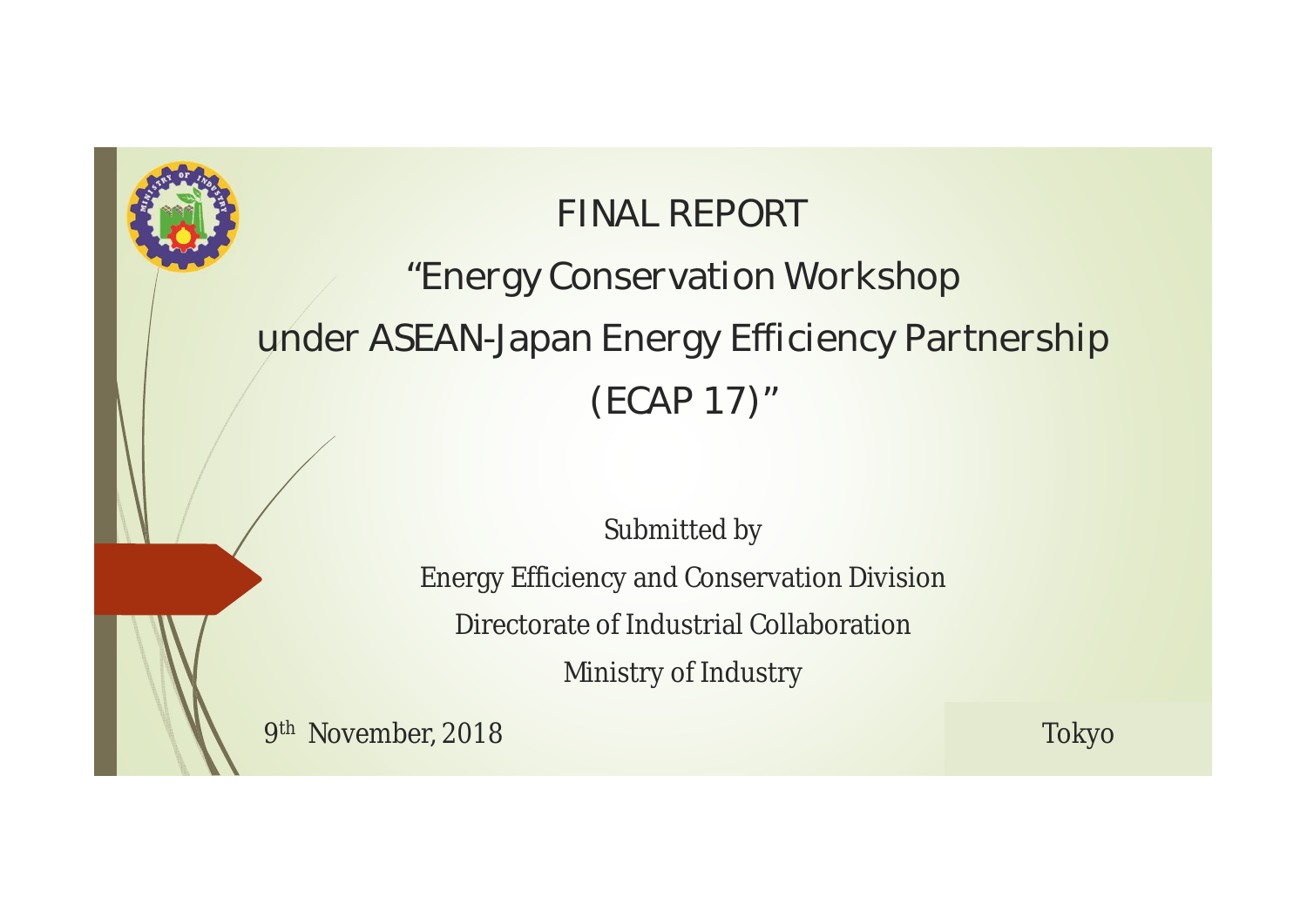### **FINAL REPORT "Energy Conservation Workshop under ASEAN-Japan Energy Efficiency Partnership (ECAP 17)"**

Submitted by

Energy Efficiency and Conservation Division

Directorate of Industrial Collaboration

Ministry of Industry

9 th November, 2018 Tokyo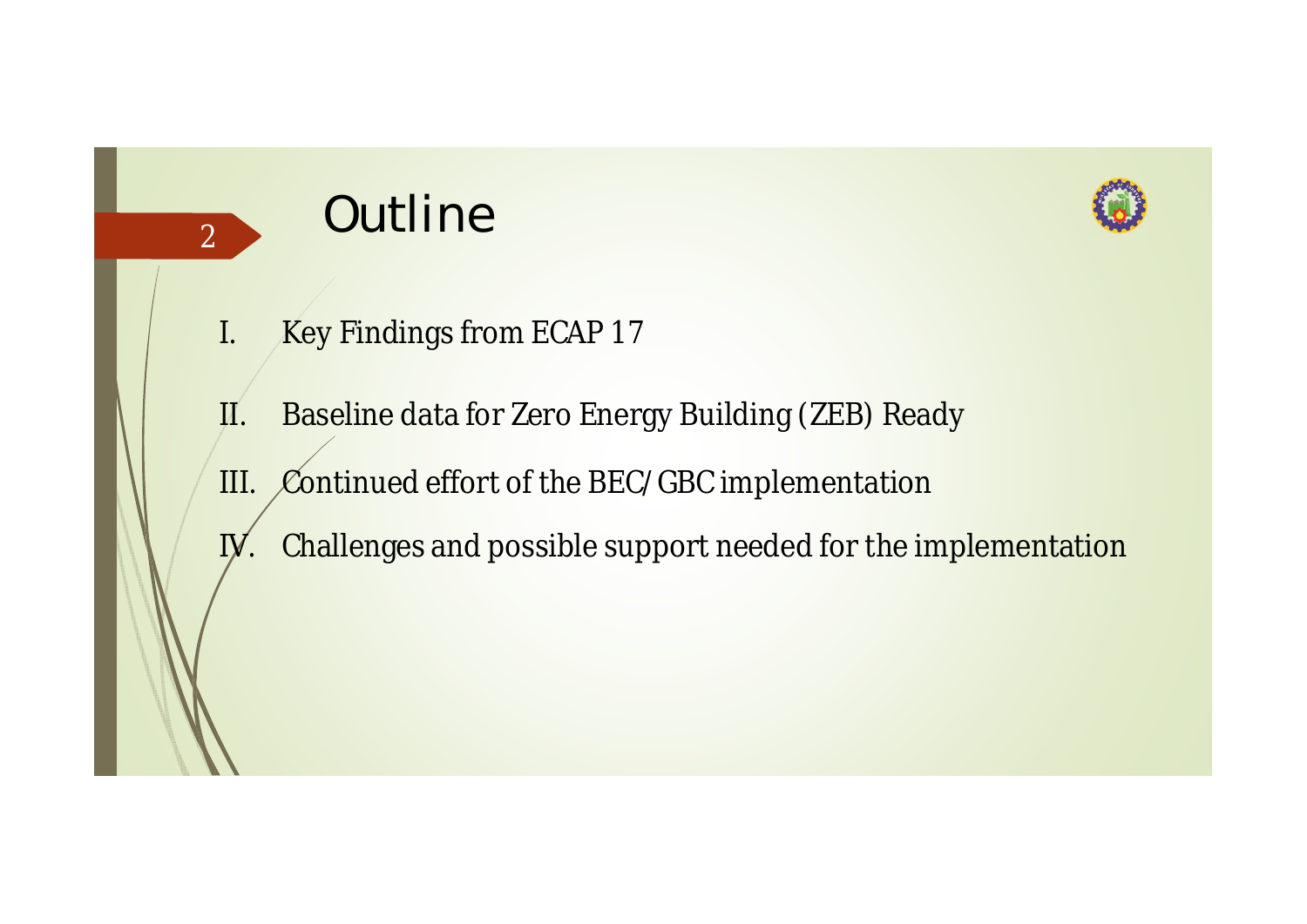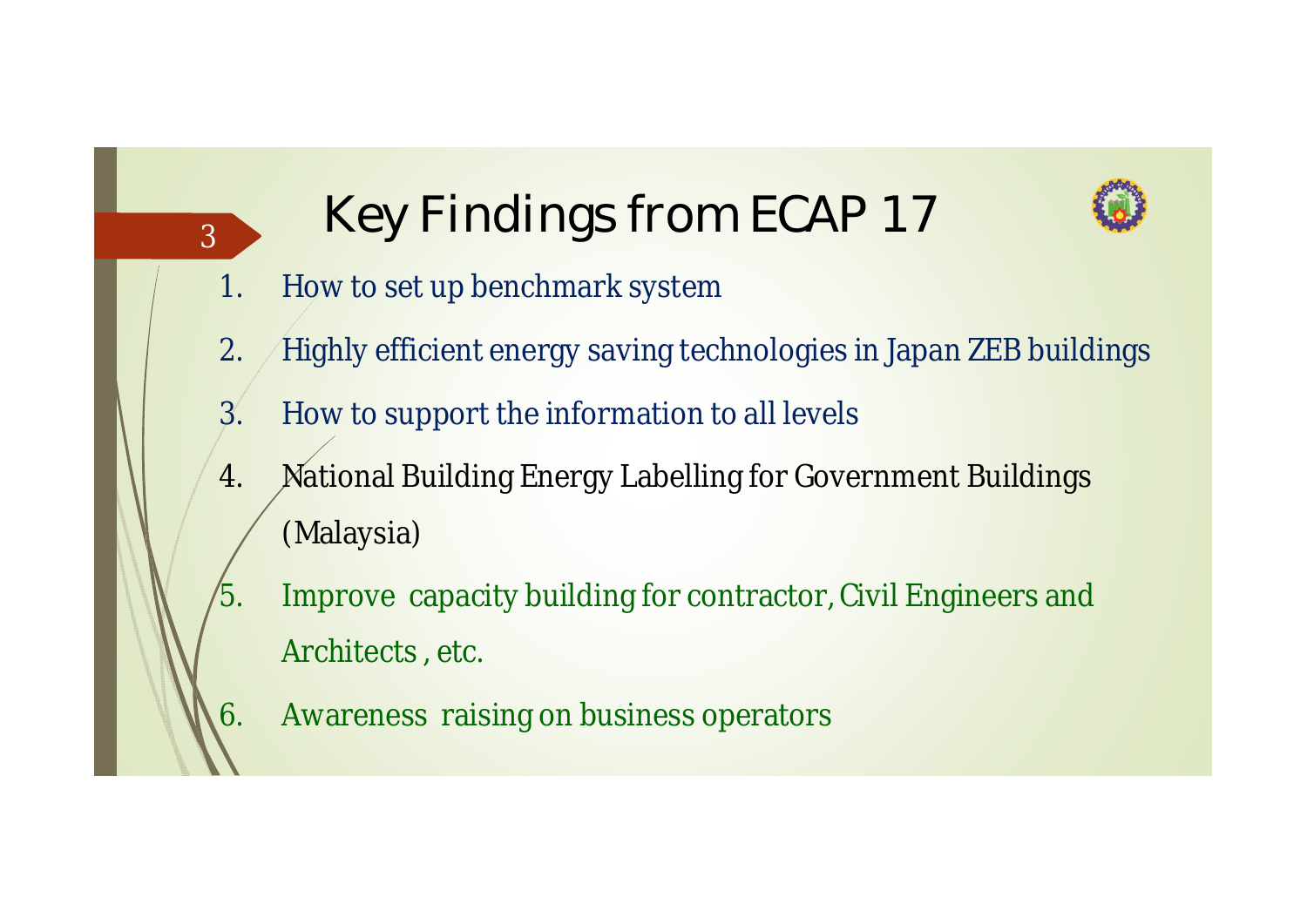

## <sup>3</sup> **Key Findings from ECAP 17**

- 1. How to set up benchmark system
- 2. Highly efficient energy saving technologies in Japan ZEB buildings
- 3. How to support the information to all levels
- 4. National Building Energy Labelling for Government Buildings (Malaysia)
	- Improve capacity building for contractor, Civil Engineers and Architects , etc.
- 6. Awareness raising on business operators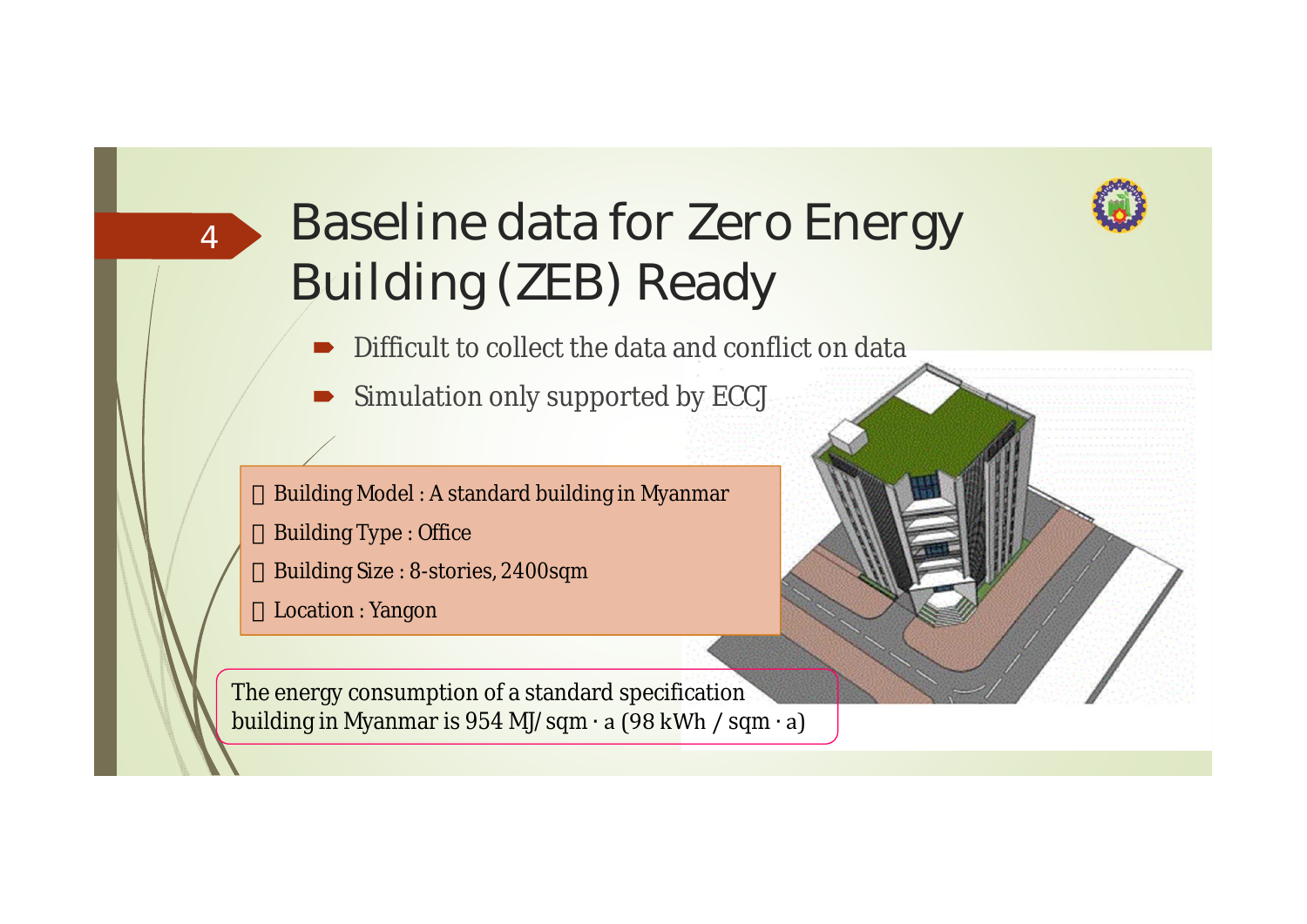

### **Baseline data for Zero Energy Building (ZEB) Ready**

- Difficult to collect the data and conflict on data
- Simulation only supported by ECCJ

Building Model : A standard building in Myanmar Building Type : Office Building Size : 8-stories, 2400sqm

Location : Yangon

4

The energy consumption of a standard specification building in Myanmar is 954 MJ/sqm ∙ a (98 kWh / sqm ∙ a)

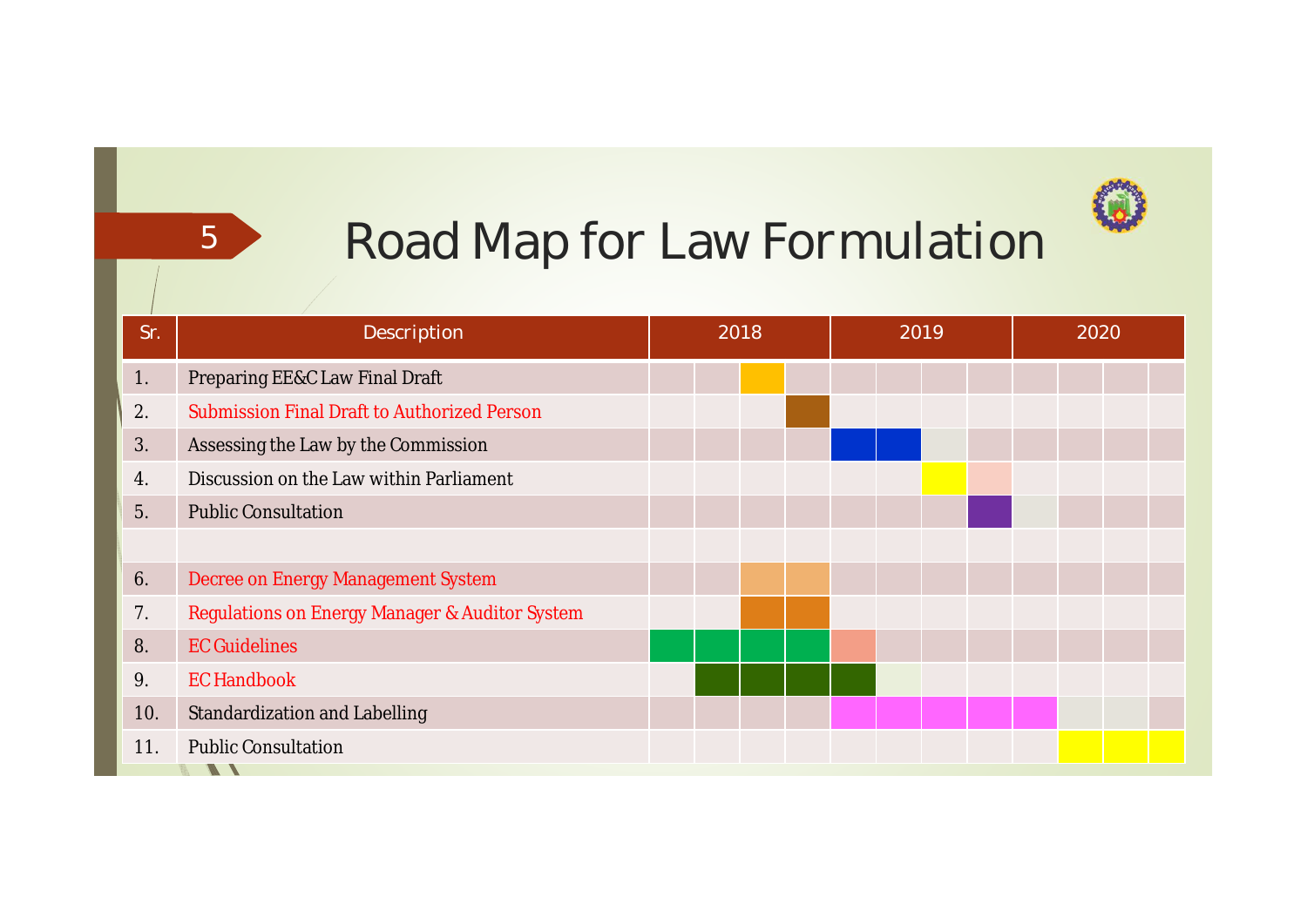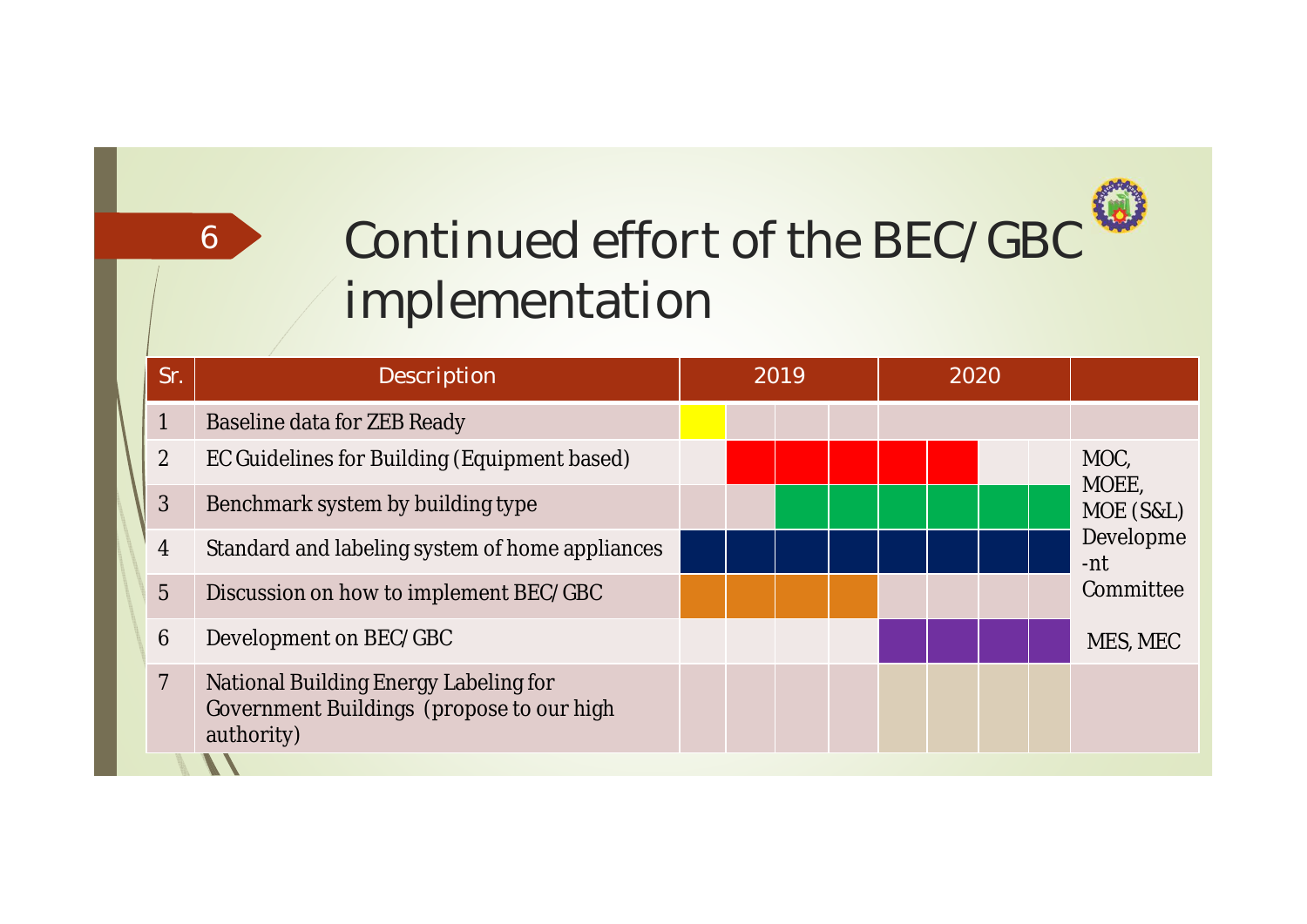# **Continued effort of the BEC/GBC implementation**

6

|  | Sr.            | Description                                                                                      | 2019 |  |  |  | 2020 |  |  |  |                                                             |
|--|----------------|--------------------------------------------------------------------------------------------------|------|--|--|--|------|--|--|--|-------------------------------------------------------------|
|  | $\mathbf{1}$   | <b>Baseline data for ZEB Ready</b>                                                               |      |  |  |  |      |  |  |  |                                                             |
|  | $\overline{2}$ | EC Guidelines for Building (Equipment based)                                                     |      |  |  |  |      |  |  |  | MOC,<br>MOEE,<br>MOE (S&L)<br>Developme<br>-nt<br>Committee |
|  | 3              | Benchmark system by building type                                                                |      |  |  |  |      |  |  |  |                                                             |
|  | $\overline{4}$ | Standard and labeling system of home appliances                                                  |      |  |  |  |      |  |  |  |                                                             |
|  | $\overline{5}$ | Discussion on how to implement BEC/GBC                                                           |      |  |  |  |      |  |  |  |                                                             |
|  | $6\phantom{1}$ | Development on BEC/GBC                                                                           |      |  |  |  |      |  |  |  | MES, MEC                                                    |
|  | $\overline{7}$ | National Building Energy Labeling for<br>Government Buildings (propose to our high<br>authority) |      |  |  |  |      |  |  |  |                                                             |
|  |                |                                                                                                  |      |  |  |  |      |  |  |  |                                                             |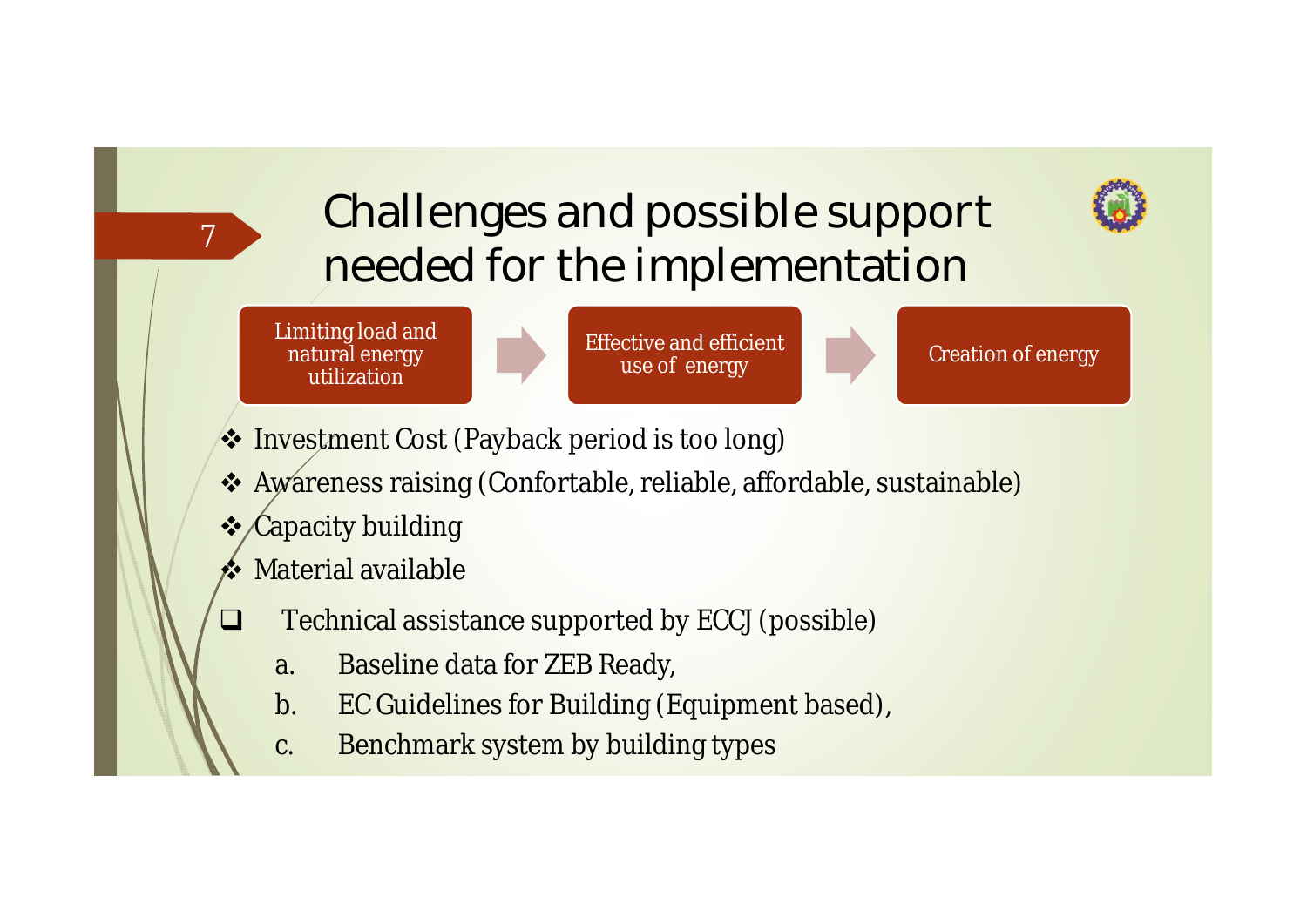### **Challenges and possible support needed for the implementation**



Limiting load and natural energy utilization

7

 $\mathcal{L}_{\mathcal{A}}$ 



Effective and efficient use of energy



- \* Investment Cost (Payback period is too long)
- Awareness raising (Confortable, reliable, affordable, sustainable)
- **❖ Capacity building**
- $\triangle$  Material available
	- Technical assistance supported by ECCJ (possible)
		- a. Baseline data for ZEB Ready,
		- b. EC Guidelines for Building (Equipment based),
		- c. Benchmark system by building types